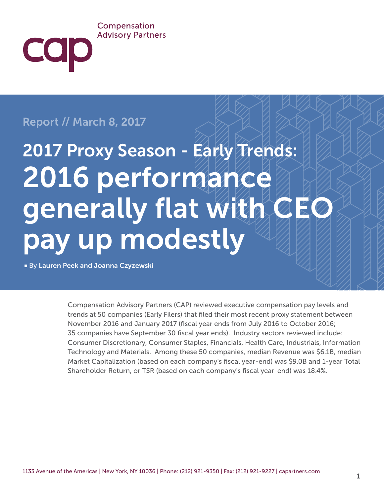#### Compensation **Advisory Partners**

## Report // March 8, 2017

COD

# 2017 Proxy Season - Early Trends: 2016 performance generally flat with CEO pay up modestly

■ By Lauren Peek and Joanna Czyzewski

Compensation Advisory Partners (CAP) reviewed executive compensation pay levels and trends at 50 companies (Early Filers) that filed their most recent proxy statement between November 2016 and January 2017 (fiscal year ends from July 2016 to October 2016; 35 companies have September 30 fiscal year ends). Industry sectors reviewed include: Consumer Discretionary, Consumer Staples, Financials, Health Care, Industrials, Information Technology and Materials. Among these 50 companies, median Revenue was \$6.1B, median Market Capitalization (based on each company's fiscal year-end) was \$9.0B and 1-year Total Shareholder Return, or TSR (based on each company's fiscal year-end) was 18.4%.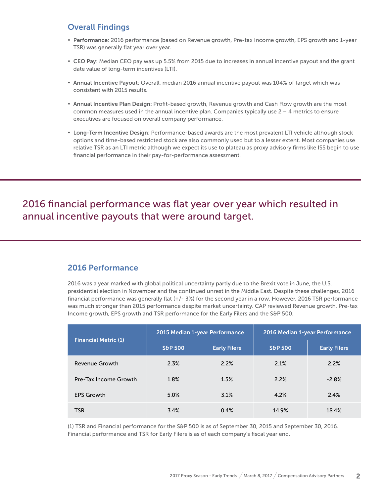## Overall Findings

- Performance: 2016 performance (based on Revenue growth, Pre-tax Income growth, EPS growth and 1-year TSR) was generally flat year over year.
- CEO Pay: Median CEO pay was up 5.5% from 2015 due to increases in annual incentive payout and the grant date value of long-term incentives (LTI).
- Annual Incentive Payout: Overall, median 2016 annual incentive payout was 104% of target which was consistent with 2015 results.
- Annual Incentive Plan Design: Profit-based growth, Revenue growth and Cash Flow growth are the most common measures used in the annual incentive plan. Companies typically use  $2 - 4$  metrics to ensure executives are focused on overall company performance.
- Long-Term Incentive Design: Performance-based awards are the most prevalent LTI vehicle although stock options and time-based restricted stock are also commonly used but to a lesser extent. Most companies use relative TSR as an LTI metric although we expect its use to plateau as proxy advisory firms like ISS begin to use financial performance in their pay-for-performance assessment.

2016 financial performance was flat year over year which resulted in annual incentive payouts that were around target.

### 2016 Performance

2016 was a year marked with global political uncertainty partly due to the Brexit vote in June, the U.S. presidential election in November and the continued unrest in the Middle East. Despite these challenges, 2016 financial performance was generally flat (+/- 3%) for the second year in a row. However, 2016 TSR performance was much stronger than 2015 performance despite market uncertainty. CAP reviewed Revenue growth, Pre-tax Income growth, EPS growth and TSR performance for the Early Filers and the S&P 500.

| <b>Financial Metric (1)</b> | 2015 Median 1-year Performance |                     | 2016 Median 1-year Performance |                     |
|-----------------------------|--------------------------------|---------------------|--------------------------------|---------------------|
|                             | <b>S&amp;P 500</b>             | <b>Early Filers</b> | <b>S&amp;P 500</b>             | <b>Early Filers</b> |
| Revenue Growth              | 2.3%                           | 2.2%                | 2.1%                           | 2.2%                |
| Pre-Tax Income Growth       | 1.8%                           | 1.5%                | 2.2%                           | $-2.8%$             |
| <b>EPS Growth</b>           | 5.0%                           | 3.1%                | 4.2%                           | 2.4%                |
| <b>TSR</b>                  | 3.4%                           | 0.4%                | 14.9%                          | 18.4%               |

(1) TSR and Financial performance for the S&P 500 is as of September 30, 2015 and September 30, 2016. Financial performance and TSR for Early Filers is as of each company's fiscal year end.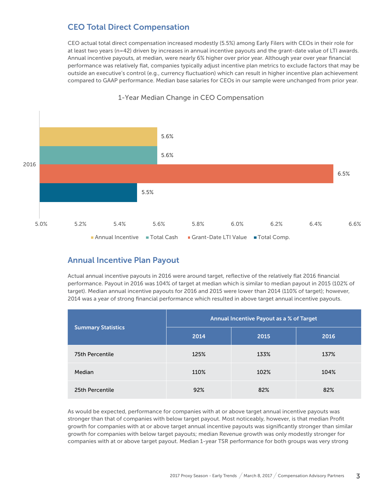## CEO Total Direct Compensation

CEO actual total direct compensation increased modestly (5.5%) among Early Filers with CEOs in their role for at least two years (n=42) driven by increases in annual incentive payouts and the grant-date value of LTI awards. Annual incentive payouts, at median, were nearly 6% higher over prior year. Although year over year financial performance was relatively flat, companies typically adjust incentive plan metrics to exclude factors that may be outside an executive's control (e.g., currency fluctuation) which can result in higher incentive plan achievement compared to GAAP performance. Median base salaries for CEOs in our sample were unchanged from prior year.



#### 1-Year Median Change in CEO Compensation

## Annual Incentive Plan Payout

Actual annual incentive payouts in 2016 were around target, reflective of the relatively flat 2016 financial performance. Payout in 2016 was 104% of target at median which is similar to median payout in 2015 (102% of target). Median annual incentive payouts for 2016 and 2015 were lower than 2014 (110% of target); however, 2014 was a year of strong financial performance which resulted in above target annual incentive payouts.

|                           | Annual Incentive Payout as a % of Target |      |      |  |
|---------------------------|------------------------------------------|------|------|--|
| <b>Summary Statistics</b> | 2014                                     | 2015 | 2016 |  |
| 75th Percentile           | 125%                                     | 133% | 137% |  |
| Median                    | 110%                                     | 102% | 104% |  |
| 25th Percentile           | 92%                                      | 82%  | 82%  |  |

As would be expected, performance for companies with at or above target annual incentive payouts was stronger than that of companies with below target payout. Most noticeably, however, is that median Profit growth for companies with at or above target annual incentive payouts was significantly stronger than similar growth for companies with below target payouts; median Revenue growth was only modestly stronger for companies with at or above target payout. Median 1-year TSR performance for both groups was very strong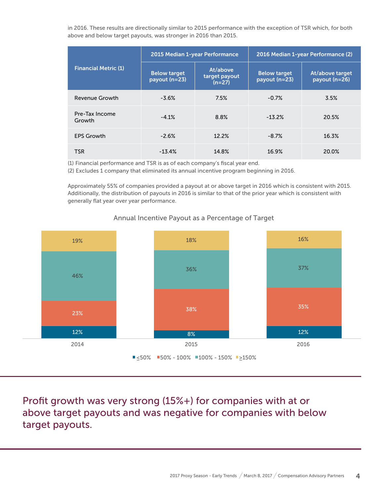in 2016. These results are directionally similar to 2015 performance with the exception of TSR which, for both above and below target payouts, was stronger in 2016 than 2015.

| <b>Financial Metric (1)</b> | 2015 Median 1-year Performance       |                                       | 2016 Median 1-year Performance (2)   |                                  |
|-----------------------------|--------------------------------------|---------------------------------------|--------------------------------------|----------------------------------|
|                             | <b>Below target</b><br>payout (n=23) | At/above<br>target payout<br>$(n=27)$ | <b>Below target</b><br>payout (n=23) | At/above target<br>payout (n=26) |
| Revenue Growth              | $-3.6%$                              | 7.5%                                  | $-0.7%$                              | 3.5%                             |
| Pre-Tax Income<br>Growth    | $-4.1%$                              | 8.8%                                  | $-13.2%$                             | 20.5%                            |
| <b>EPS Growth</b>           | $-2.6%$                              | 12.2%                                 | $-8.7%$                              | 16.3%                            |
| <b>TSR</b>                  | $-13.4\%$                            | 14.8%                                 | 16.9%                                | 20.0%                            |

(1) Financial performance and TSR is as of each company's fiscal year end.

(2) Excludes 1 company that eliminated its annual incentive program beginning in 2016.

Approximately 55% of companies provided a payout at or above target in 2016 which is consistent with 2015. Additionally, the distribution of payouts in 2016 is similar to that of the prior year which is consistent with generally flat year over year performance.



#### Annual Incentive Payout as a Percentage of Target

Profit growth was very strong (15%+) for companies with at or above target payouts and was negative for companies with below target payouts.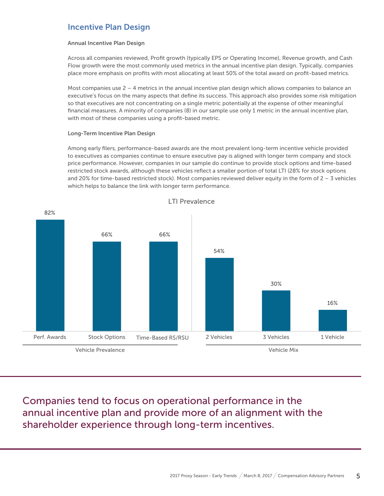## Incentive Plan Design

#### Annual Incentive Plan Design

Across all companies reviewed, Profit growth (typically EPS or Operating Income), Revenue growth, and Cash Flow growth were the most commonly used metrics in the annual incentive plan design. Typically, companies place more emphasis on profits with most allocating at least 50% of the total award on profit-based metrics.

Most companies use 2 – 4 metrics in the annual incentive plan design which allows companies to balance an executive's focus on the many aspects that define its success. This approach also provides some risk mitigation so that executives are not concentrating on a single metric potentially at the expense of other meaningful financial measures. A minority of companies (8) in our sample use only 1 metric in the annual incentive plan, with most of these companies using a profit-based metric.

#### Long-Term Incentive Plan Design

Among early filers, performance-based awards are the most prevalent long-term incentive vehicle provided to executives as companies continue to ensure executive pay is aligned with longer term company and stock price performance. However, companies in our sample do continue to provide stock options and time-based restricted stock awards, although these vehicles reflect a smaller portion of total LTI (28% for stock options and 20% for time-based restricted stock). Most companies reviewed deliver equity in the form of  $2 - 3$  vehicles which helps to balance the link with longer term performance.



Companies tend to focus on operational performance in the annual incentive plan and provide more of an alignment with the shareholder experience through long-term incentives.